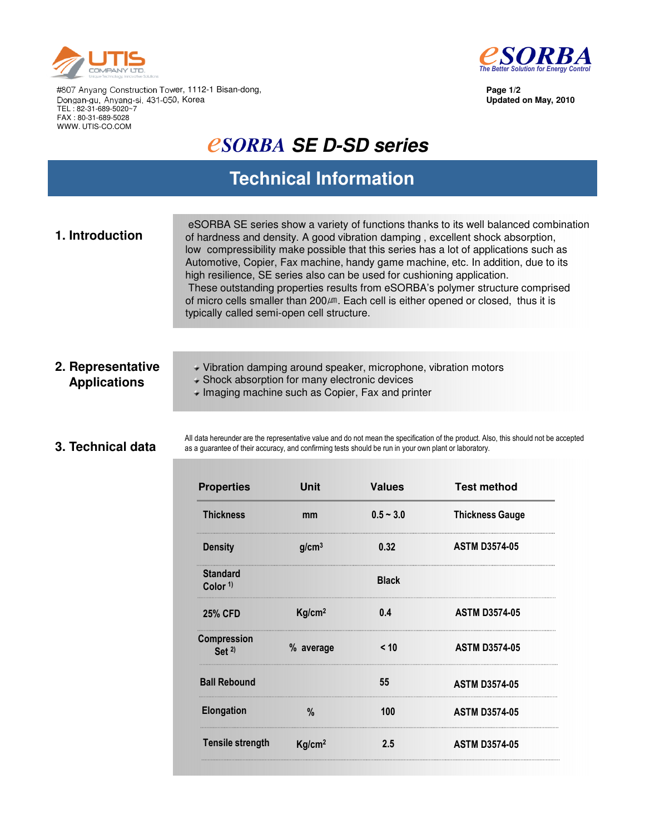



**Page 1/2 Updated on May, 2010**

#807 Anyang Construction Tower, 1112-1 Bisan-dong, Dongan-gu, Anyang-si, 431-050, Korea TEL : 82-31-689-5020~7 FAX : 80-31-689-5028 WWW. UTIS-CO.COM

# *CSORBA SE D-SD series*

## **Technical Information**

| 1. Introduction | eSORBA SE series show a variety of functions thanks to its well balanced combination<br>of hardness and density. A good vibration damping, excellent shock absorption,<br>low compressibility make possible that this series has a lot of applications such as<br>Automotive, Copier, Fax machine, handy game machine, etc. In addition, due to its<br>high resilience, SE series also can be used for cushioning application.<br>These outstanding properties results from eSORBA's polymer structure comprised<br>of micro cells smaller than 200 $\mu$ m. Each cell is either opened or closed, thus it is<br>typically called semi-open cell structure. |
|-----------------|-------------------------------------------------------------------------------------------------------------------------------------------------------------------------------------------------------------------------------------------------------------------------------------------------------------------------------------------------------------------------------------------------------------------------------------------------------------------------------------------------------------------------------------------------------------------------------------------------------------------------------------------------------------|
|                 |                                                                                                                                                                                                                                                                                                                                                                                                                                                                                                                                                                                                                                                             |

### **2. Representative Applications**

Vibration damping around speaker, microphone, vibration motors

- Shock absorption for many electronic devices
- $\blacktriangleright$  Imaging machine such as Copier, Fax and printer

### **3. Technical data**

All data hereunder are the representative value and do not mean the specification of the product. Also, this should not be accepted as a guarantee of their accuracy, and confirming tests should be run in your own plant or laboratory.

| <b>Properties</b>                      | <b>Unit</b>        | <b>Values</b> | <b>Test method</b>     |
|----------------------------------------|--------------------|---------------|------------------------|
| <b>Thickness</b>                       | mm                 | $0.5 - 3.0$   | <b>Thickness Gauge</b> |
| <b>Density</b>                         | g/cm <sup>3</sup>  | 0.32          | <b>ASTM D3574-05</b>   |
| <b>Standard</b><br>Color <sup>1)</sup> |                    | <b>Black</b>  |                        |
| <b>25% CFD</b>                         | Kg/cm <sup>2</sup> | 0.4           | <b>ASTM D3574-05</b>   |
| Compression<br>Set $2$                 | % average          | < 10          | <b>ASTM D3574-05</b>   |
| <b>Ball Rebound</b>                    |                    | 55            | <b>ASTM D3574-05</b>   |
| <b>Elongation</b>                      | %                  | 100           | <b>ASTM D3574-05</b>   |
| <b>Tensile strength</b>                | Kg/cm <sup>2</sup> | 2.5           | <b>ASTM D3574-05</b>   |